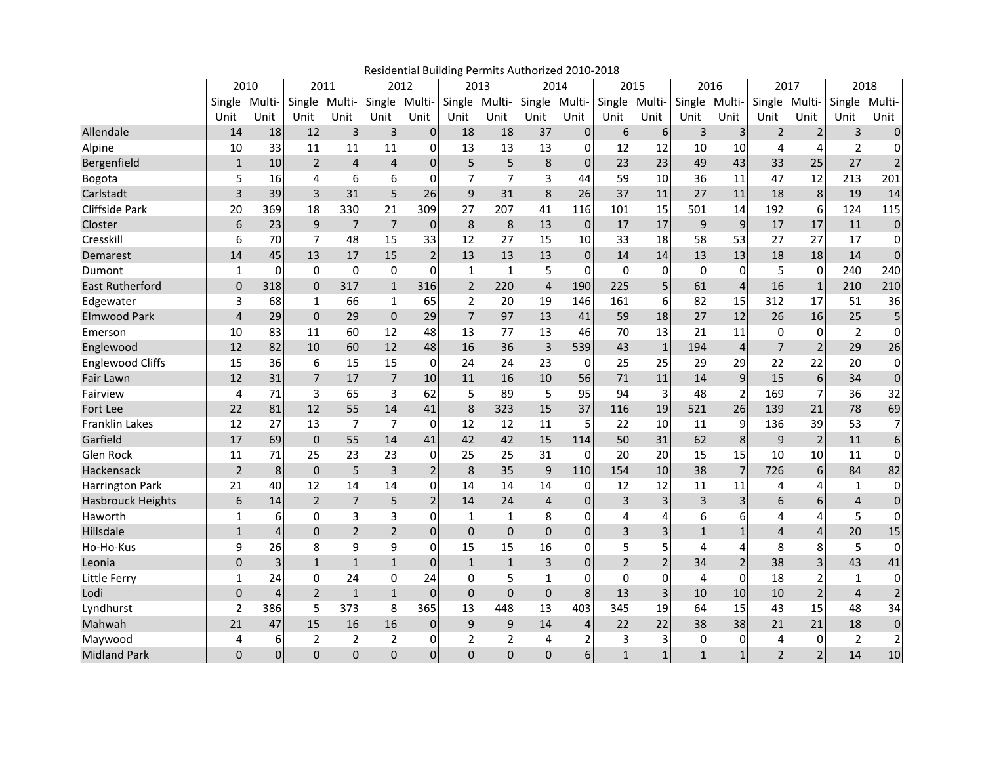|                          | Residential Building Permits Authorized 2010-2018 |                |                |                         |                |                |                |                |                |                         |                |                |               |                |                |                |                |                         |  |
|--------------------------|---------------------------------------------------|----------------|----------------|-------------------------|----------------|----------------|----------------|----------------|----------------|-------------------------|----------------|----------------|---------------|----------------|----------------|----------------|----------------|-------------------------|--|
|                          | 2010                                              |                | 2011           |                         | 2012           |                |                | 2013           |                | 2014                    |                | 2015           |               | 2016           |                | 2017           |                | 2018                    |  |
|                          | Single Multi-                                     |                | Single         | Multi-                  | Single Multi-  |                |                | Single Multi-  | Single Multi-  |                         | Single         | Multi-         | Single Multi- |                | Single Multi-  |                | Single Multi-  |                         |  |
|                          | Unit                                              | Unit           | Unit           | Unit                    | Unit           | Unit           | Unit           | Unit           | Unit           | Unit                    | Unit           | Unit           | Unit          | Unit           | Unit           | Unit           | Unit           | Unit                    |  |
| Allendale                | 14                                                | 18             | 12             | $\overline{\mathbf{3}}$ | 3              | $\overline{0}$ | 18             | 18             | 37             | $\overline{0}$          | 6              | 6              | 3             | 3 <sup>1</sup> | $\overline{2}$ | $\overline{2}$ | 3              | $\pmb{0}$               |  |
| Alpine                   | 10                                                | 33             | 11             | 11                      | 11             | $\Omega$       | 13             | 13             | 13             | $\Omega$                | 12             | 12             | 10            | 10             | 4              | 4              | $\overline{2}$ | $\Omega$                |  |
| Bergenfield              | $\mathbf{1}$                                      | 10             | $\overline{2}$ | 4                       | $\overline{4}$ | $\overline{0}$ | 5              | 5              | 8              | $\overline{0}$          | 23             | 23             | 49            | 43             | 33             | 25             | 27             | $\mathbf 2$             |  |
| Bogota                   | 5                                                 | 16             | 4              | 6                       | 6              | 0              | $\overline{7}$ | 7              | 3              | 44                      | 59             | 10             | 36            | 11             | 47             | 12             | 213            | 201                     |  |
| Carlstadt                | 3                                                 | 39             | 3              | 31                      | 5              | 26             | 9              | 31             | 8              | 26                      | 37             | 11             | 27            | 11             | 18             | 8              | 19             | 14                      |  |
| Cliffside Park           | 20                                                | 369            | 18             | 330                     | 21             | 309            | 27             | 207            | 41             | 116                     | 101            | 15             | 501           | 14             | 192            | 6              | 124            | 115                     |  |
| Closter                  | 6                                                 | 23             | 9              | $\overline{7}$          | $\overline{7}$ | $\mathbf 0$    | 8              | 8              | 13             | $\mathbf 0$             | 17             | 17             | 9             | 9              | 17             | 17             | 11             | $\mathbf 0$             |  |
| Cresskill                | 6                                                 | 70             | $\overline{7}$ | 48                      | 15             | 33             | 12             | 27             | 15             | 10                      | 33             | 18             | 58            | 53             | 27             | 27             | 17             | $\mathbf 0$             |  |
| Demarest                 | 14                                                | 45             | 13             | 17                      | 15             | $\overline{2}$ | 13             | 13             | 13             | $\overline{0}$          | 14             | 14             | 13            | 13             | 18             | 18             | 14             | $\pmb{0}$               |  |
| Dumont                   | 1                                                 | $\mathbf 0$    | 0              | 0                       | 0              | $\overline{0}$ | 1              | $\mathbf{1}$   | 5              | $\Omega$                | $\mathbf 0$    | 0              | $\mathbf 0$   | 0              | 5              | 0              | 240            | 240                     |  |
| <b>East Rutherford</b>   | $\mathbf 0$                                       | 318            | $\Omega$       | 317                     | $\mathbf{1}$   | 316            | $\overline{2}$ | 220            | $\overline{4}$ | 190                     | 225            | 5              | 61            | $\overline{4}$ | 16             | $\mathbf 1$    | 210            | 210                     |  |
| Edgewater                | 3                                                 | 68             | $\mathbf{1}$   | 66                      | $\mathbf{1}$   | 65             | $\overline{2}$ | 20             | 19             | 146                     | 161            | 6              | 82            | 15             | 312            | 17             | 51             | 36                      |  |
| <b>Elmwood Park</b>      | $\overline{\mathbf{4}}$                           | 29             | $\mathbf 0$    | 29                      | $\mathbf 0$    | 29             | $\overline{7}$ | 97             | 13             | 41                      | 59             | 18             | 27            | 12             | 26             | 16             | 25             | 5                       |  |
| Emerson                  | 10                                                | 83             | 11             | 60                      | 12             | 48             | 13             | 77             | 13             | 46                      | 70             | 13             | 21            | 11             | 0              | 0              | $\overline{2}$ | $\mathbf 0$             |  |
| Englewood                | 12                                                | 82             | 10             | 60                      | 12             | 48             | 16             | 36             | $\overline{3}$ | 539                     | 43             | $\mathbf 1$    | 194           | 4              | $\overline{7}$ | $\overline{2}$ | 29             | 26                      |  |
| <b>Englewood Cliffs</b>  | 15                                                | 36             | 6              | 15                      | 15             | 0              | 24             | 24             | 23             | $\Omega$                | 25             | 25             | 29            | 29             | 22             | 22             | 20             | 0                       |  |
| Fair Lawn                | 12                                                | 31             | $\overline{7}$ | 17                      | $\overline{7}$ | 10             | 11             | 16             | 10             | 56                      | 71             | 11             | 14            | 9              | 15             | 6              | 34             | $\mathbf 0$             |  |
| Fairview                 | $\overline{4}$                                    | 71             | 3              | 65                      | 3              | 62             | 5              | 89             | 5              | 95                      | 94             | 3              | 48            | $\overline{2}$ | 169            | $\overline{7}$ | 36             | 32                      |  |
| Fort Lee                 | 22                                                | 81             | 12             | 55                      | 14             | 41             | 8              | 323            | 15             | 37                      | 116            | 19             | 521           | 26             | 139            | 21             | 78             | 69                      |  |
| <b>Franklin Lakes</b>    | 12                                                | 27             | 13             | $\overline{7}$          | $\overline{7}$ | 0              | 12             | 12             | 11             | 5                       | 22             | 10             | 11            | 9              | 136            | 39             | 53             | $\overline{7}$          |  |
| Garfield                 | 17                                                | 69             | $\Omega$       | 55                      | 14             | 41             | 42             | 42             | 15             | 114                     | 50             | 31             | 62            | $\,8\,$        | 9              | $\overline{2}$ | 11             | $\boldsymbol{6}$        |  |
| Glen Rock                | 11                                                | 71             | 25             | 23                      | 23             | $\overline{0}$ | 25             | 25             | 31             | $\Omega$                | 20             | 20             | 15            | 15             | 10             | 10             | 11             | $\mathbf 0$             |  |
| Hackensack               | $\overline{2}$                                    | 8              | $\mathbf 0$    | 5                       | 3              | $\overline{2}$ | 8              | 35             | 9              | 110                     | 154            | 10             | 38            | $\overline{7}$ | 726            | 6              | 84             | 82                      |  |
| <b>Harrington Park</b>   | 21                                                | 40             | 12             | 14                      | 14             | $\mathbf{0}$   | 14             | 14             | 14             | $\overline{0}$          | 12             | 12             | 11            | 11             | 4              | 4              | 1              | 0                       |  |
| <b>Hasbrouck Heights</b> | 6                                                 | 14             | $\overline{2}$ | 7                       | 5              | $\overline{2}$ | 14             | 24             | $\overline{4}$ | $\overline{0}$          | 3              | 3              | 3             | 3              | 6              | 6              | $\overline{4}$ | $\pmb{0}$               |  |
| Haworth                  | $\mathbf{1}$                                      | 6              | $\Omega$       | 3                       | 3              | 0              | 1              | 1              | 8              | $\overline{0}$          | 4              | 4              | 6             | 6              | 4              | 4              | 5              | 0                       |  |
| Hillsdale                | $\mathbf 1$                                       | $\sqrt{4}$     | $\Omega$       | $\overline{c}$          | $\overline{2}$ | $\overline{0}$ | $\overline{0}$ | $\overline{0}$ | $\Omega$       | $\overline{0}$          | $\overline{3}$ | 3              | $\mathbf{1}$  | $\mathbf 1$    | 4              | $\overline{4}$ | 20             | 15                      |  |
| Ho-Ho-Kus                | 9                                                 | 26             | 8              | 9                       | 9              | $\overline{0}$ | 15             | 15             | 16             | $\overline{0}$          | 5              | 5              | 4             | 4              | 8              | 8              | 5              | $\mathbf 0$             |  |
| Leonia                   | $\mathbf 0$                                       | 3              | $\mathbf{1}$   | $\mathbf{1}$            | $\mathbf{1}$   | $\overline{0}$ | $\mathbf{1}$   | $\mathbf{1}$   | 3              | $\overline{0}$          | $\overline{2}$ | $\overline{2}$ | 34            | $\overline{2}$ | 38             | 3              | 43             | 41                      |  |
| Little Ferry             | $\mathbf{1}$                                      | 24             | $\Omega$       | 24                      | $\Omega$       | 24             | $\Omega$       | 5              | $\mathbf{1}$   | $\Omega$                | $\mathbf 0$    | 0              | 4             | $\mathbf{0}$   | 18             | $\overline{2}$ | $\mathbf{1}$   | $\mathbf 0$             |  |
| Lodi                     | $\mathbf 0$                                       | $\overline{4}$ | $\overline{2}$ | $\mathbf{1}$            | $\mathbf{1}$   | $\mathbf 0$    | $\Omega$       | 0              | $\mathbf{0}$   | 8                       | 13             | $\overline{3}$ | 10            | 10             | 10             | $\overline{2}$ | $\overline{4}$ | $\overline{2}$          |  |
| Lyndhurst                | $\overline{2}$                                    | 386            | 5              | 373                     | 8              | 365            | 13             | 448            | 13             | 403                     | 345            | 19             | 64            | 15             | 43             | 15             | 48             | 34                      |  |
| Mahwah                   | 21                                                | 47             | 15             | 16                      | 16             | $\mathbf 0$    | 9              | 9              | 14             | $\overline{\mathbf{4}}$ | 22             | 22             | 38            | 38             | 21             | 21             | 18             | $\mathbf 0$             |  |
| Maywood                  | 4                                                 | 6              | $\overline{2}$ | 2                       | $\overline{2}$ | $\overline{0}$ | $\overline{2}$ | 2              | 4              | 2                       | 3              | 3              | 0             | 0              | 4              | 0              | $\overline{2}$ | $\overline{\mathbf{c}}$ |  |
| <b>Midland Park</b>      | $\Omega$                                          | $\overline{0}$ | $\Omega$       | $\overline{0}$          | $\overline{0}$ | $\overline{0}$ | $\Omega$       | $\overline{0}$ | $\overline{0}$ | 6 <sup>1</sup>          | $\mathbf{1}$   | $\mathbf{1}$   | $\mathbf{1}$  | $1\vert$       | $\overline{2}$ | $\overline{2}$ | 14             | 10                      |  |